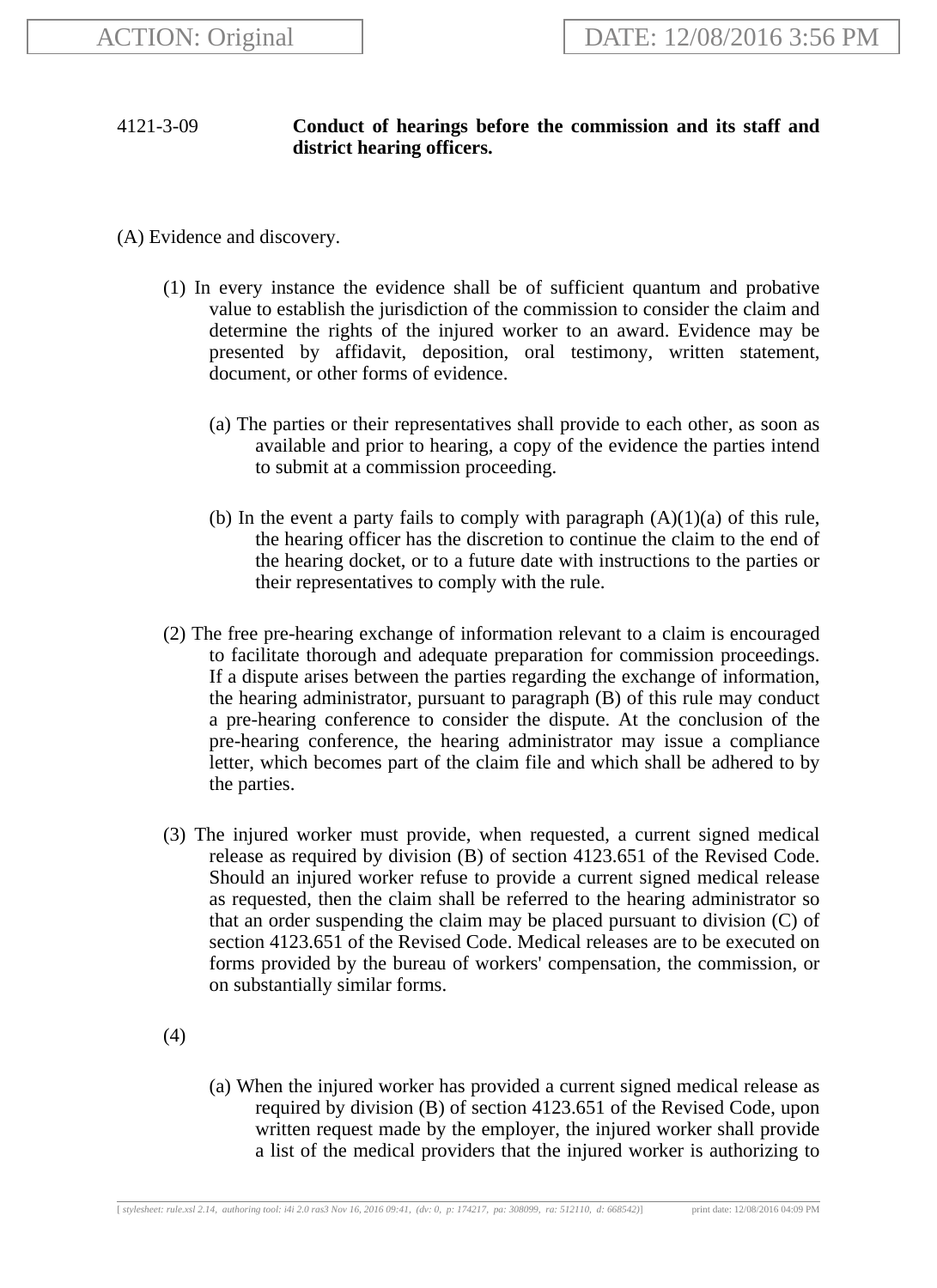## 4121-3-09 **Conduct of hearings before the commission and its staff and district hearing officers.**

(A) Evidence and discovery.

- (1) In every instance the evidence shall be of sufficient quantum and probative value to establish the jurisdiction of the commission to consider the claim and determine the rights of the injured worker to an award. Evidence may be presented by affidavit, deposition, oral testimony, written statement, document, or other forms of evidence.
	- (a) The parties or their representatives shall provide to each other, as soon as available and prior to hearing, a copy of the evidence the parties intend to submit at a commission proceeding.
	- (b) In the event a party fails to comply with paragraph  $(A)(1)(a)$  of this rule, the hearing officer has the discretion to continue the claim to the end of the hearing docket, or to a future date with instructions to the parties or their representatives to comply with the rule.
- (2) The free pre-hearing exchange of information relevant to a claim is encouraged to facilitate thorough and adequate preparation for commission proceedings. If a dispute arises between the parties regarding the exchange of information, the hearing administrator, pursuant to paragraph (B) of this rule may conduct a pre-hearing conference to consider the dispute. At the conclusion of the pre-hearing conference, the hearing administrator may issue a compliance letter, which becomes part of the claim file and which shall be adhered to by the parties.
- (3) The injured worker must provide, when requested, a current signed medical release as required by division (B) of section 4123.651 of the Revised Code. Should an injured worker refuse to provide a current signed medical release as requested, then the claim shall be referred to the hearing administrator so that an order suspending the claim may be placed pursuant to division (C) of section 4123.651 of the Revised Code. Medical releases are to be executed on forms provided by the bureau of workers' compensation, the commission, or on substantially similar forms.
- (4)
- (a) When the injured worker has provided a current signed medical release as required by division (B) of section 4123.651 of the Revised Code, upon written request made by the employer, the injured worker shall provide a list of the medical providers that the injured worker is authorizing to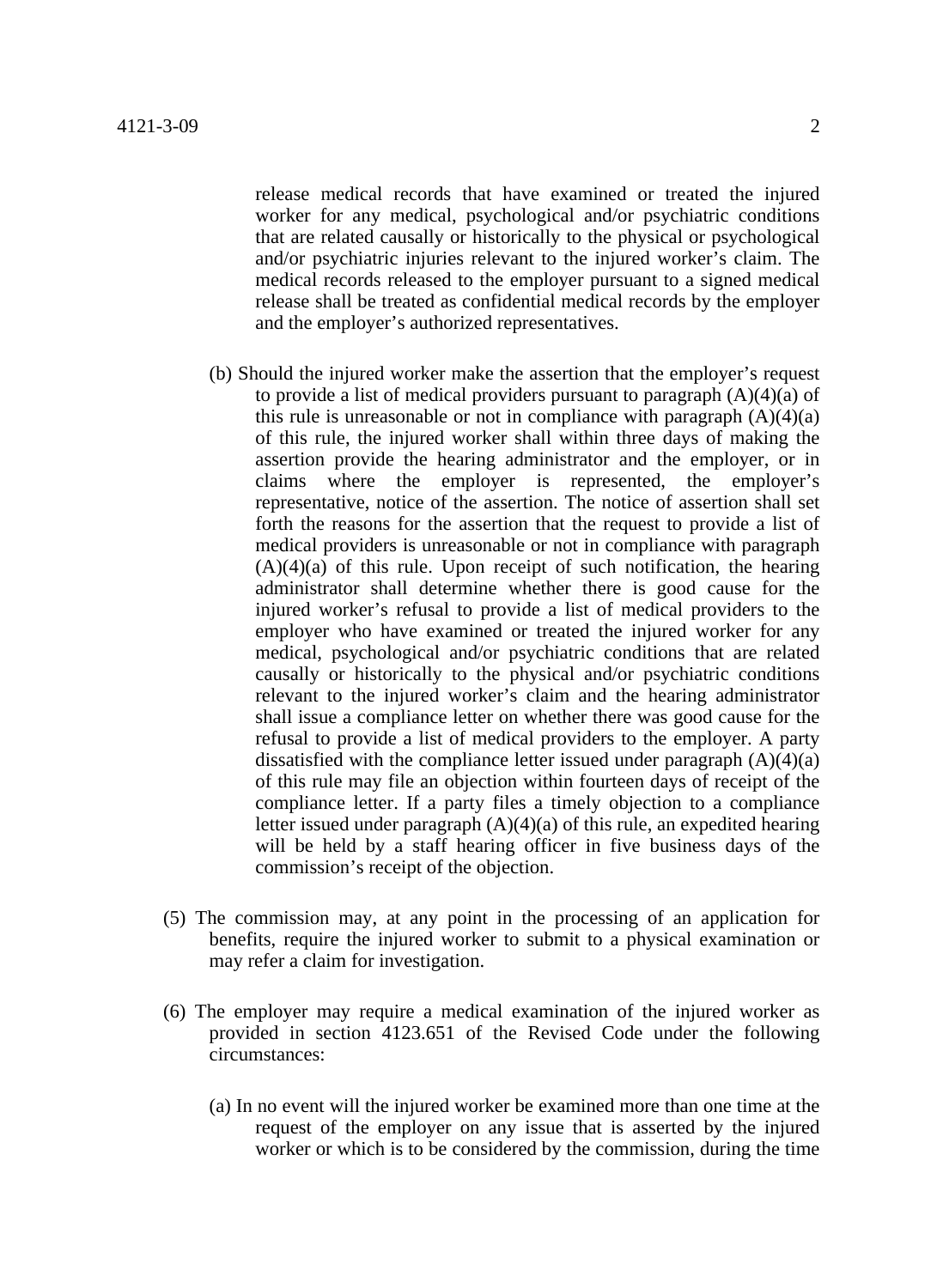release medical records that have examined or treated the injured worker for any medical, psychological and/or psychiatric conditions that are related causally or historically to the physical or psychological and/or psychiatric injuries relevant to the injured worker's claim. The medical records released to the employer pursuant to a signed medical release shall be treated as confidential medical records by the employer and the employer's authorized representatives.

- (b) Should the injured worker make the assertion that the employer's request to provide a list of medical providers pursuant to paragraph  $(A)(4)(a)$  of this rule is unreasonable or not in compliance with paragraph  $(A)(4)(a)$ of this rule, the injured worker shall within three days of making the assertion provide the hearing administrator and the employer, or in claims where the employer is represented, the employer's representative, notice of the assertion. The notice of assertion shall set forth the reasons for the assertion that the request to provide a list of medical providers is unreasonable or not in compliance with paragraph  $(A)(4)(a)$  of this rule. Upon receipt of such notification, the hearing administrator shall determine whether there is good cause for the injured worker's refusal to provide a list of medical providers to the employer who have examined or treated the injured worker for any medical, psychological and/or psychiatric conditions that are related causally or historically to the physical and/or psychiatric conditions relevant to the injured worker's claim and the hearing administrator shall issue a compliance letter on whether there was good cause for the refusal to provide a list of medical providers to the employer. A party dissatisfied with the compliance letter issued under paragraph  $(A)(4)(a)$ of this rule may file an objection within fourteen days of receipt of the compliance letter. If a party files a timely objection to a compliance letter issued under paragraph (A)(4)(a) of this rule, an expedited hearing will be held by a staff hearing officer in five business days of the commission's receipt of the objection.
- (5) The commission may, at any point in the processing of an application for benefits, require the injured worker to submit to a physical examination or may refer a claim for investigation.
- (6) The employer may require a medical examination of the injured worker as provided in section 4123.651 of the Revised Code under the following circumstances:
	- (a) In no event will the injured worker be examined more than one time at the request of the employer on any issue that is asserted by the injured worker or which is to be considered by the commission, during the time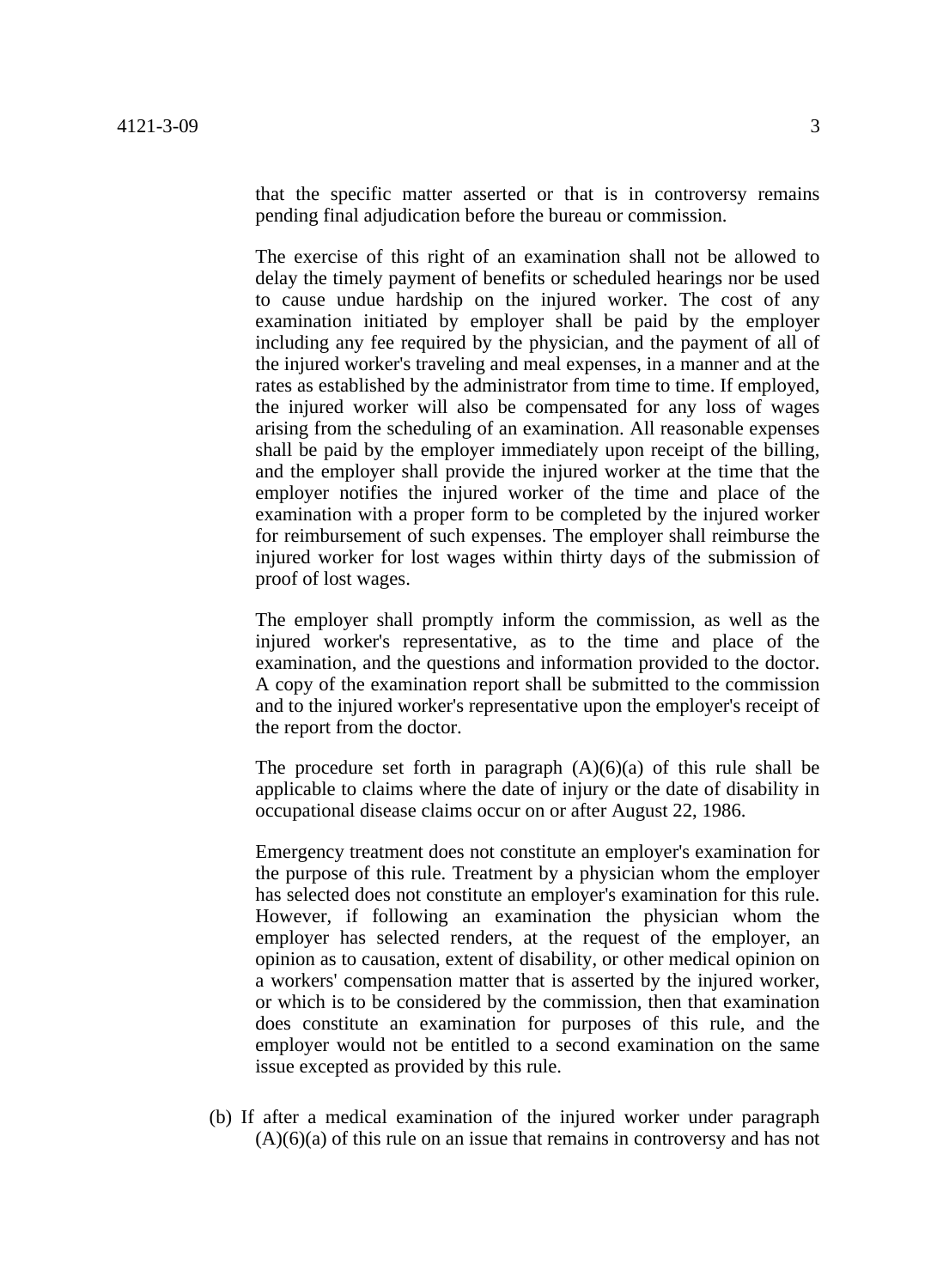that the specific matter asserted or that is in controversy remains pending final adjudication before the bureau or commission.

The exercise of this right of an examination shall not be allowed to delay the timely payment of benefits or scheduled hearings nor be used to cause undue hardship on the injured worker. The cost of any examination initiated by employer shall be paid by the employer including any fee required by the physician, and the payment of all of the injured worker's traveling and meal expenses, in a manner and at the rates as established by the administrator from time to time. If employed, the injured worker will also be compensated for any loss of wages arising from the scheduling of an examination. All reasonable expenses shall be paid by the employer immediately upon receipt of the billing, and the employer shall provide the injured worker at the time that the employer notifies the injured worker of the time and place of the examination with a proper form to be completed by the injured worker for reimbursement of such expenses. The employer shall reimburse the injured worker for lost wages within thirty days of the submission of proof of lost wages.

The employer shall promptly inform the commission, as well as the injured worker's representative, as to the time and place of the examination, and the questions and information provided to the doctor. A copy of the examination report shall be submitted to the commission and to the injured worker's representative upon the employer's receipt of the report from the doctor.

The procedure set forth in paragraph  $(A)(6)(a)$  of this rule shall be applicable to claims where the date of injury or the date of disability in occupational disease claims occur on or after August 22, 1986.

Emergency treatment does not constitute an employer's examination for the purpose of this rule. Treatment by a physician whom the employer has selected does not constitute an employer's examination for this rule. However, if following an examination the physician whom the employer has selected renders, at the request of the employer, an opinion as to causation, extent of disability, or other medical opinion on a workers' compensation matter that is asserted by the injured worker, or which is to be considered by the commission, then that examination does constitute an examination for purposes of this rule, and the employer would not be entitled to a second examination on the same issue excepted as provided by this rule.

(b) If after a medical examination of the injured worker under paragraph  $(A)(6)(a)$  of this rule on an issue that remains in controversy and has not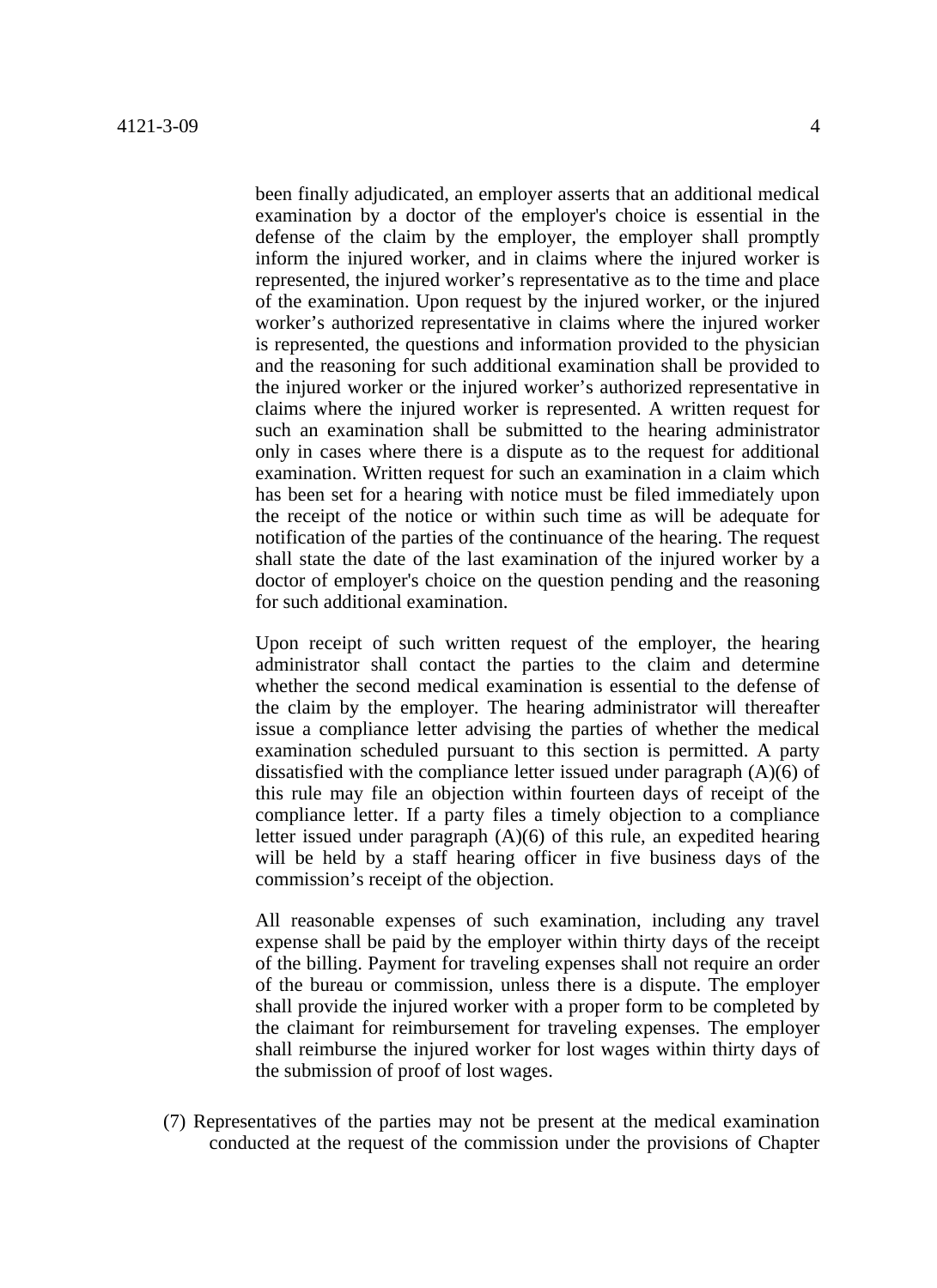been finally adjudicated, an employer asserts that an additional medical examination by a doctor of the employer's choice is essential in the defense of the claim by the employer, the employer shall promptly inform the injured worker, and in claims where the injured worker is represented, the injured worker's representative as to the time and place of the examination. Upon request by the injured worker, or the injured worker's authorized representative in claims where the injured worker is represented, the questions and information provided to the physician and the reasoning for such additional examination shall be provided to the injured worker or the injured worker's authorized representative in claims where the injured worker is represented. A written request for such an examination shall be submitted to the hearing administrator only in cases where there is a dispute as to the request for additional examination. Written request for such an examination in a claim which has been set for a hearing with notice must be filed immediately upon the receipt of the notice or within such time as will be adequate for notification of the parties of the continuance of the hearing. The request shall state the date of the last examination of the injured worker by a doctor of employer's choice on the question pending and the reasoning for such additional examination.

Upon receipt of such written request of the employer, the hearing administrator shall contact the parties to the claim and determine whether the second medical examination is essential to the defense of the claim by the employer. The hearing administrator will thereafter issue a compliance letter advising the parties of whether the medical examination scheduled pursuant to this section is permitted. A party dissatisfied with the compliance letter issued under paragraph (A)(6) of this rule may file an objection within fourteen days of receipt of the compliance letter. If a party files a timely objection to a compliance letter issued under paragraph (A)(6) of this rule, an expedited hearing will be held by a staff hearing officer in five business days of the commission's receipt of the objection.

All reasonable expenses of such examination, including any travel expense shall be paid by the employer within thirty days of the receipt of the billing. Payment for traveling expenses shall not require an order of the bureau or commission, unless there is a dispute. The employer shall provide the injured worker with a proper form to be completed by the claimant for reimbursement for traveling expenses. The employer shall reimburse the injured worker for lost wages within thirty days of the submission of proof of lost wages.

(7) Representatives of the parties may not be present at the medical examination conducted at the request of the commission under the provisions of Chapter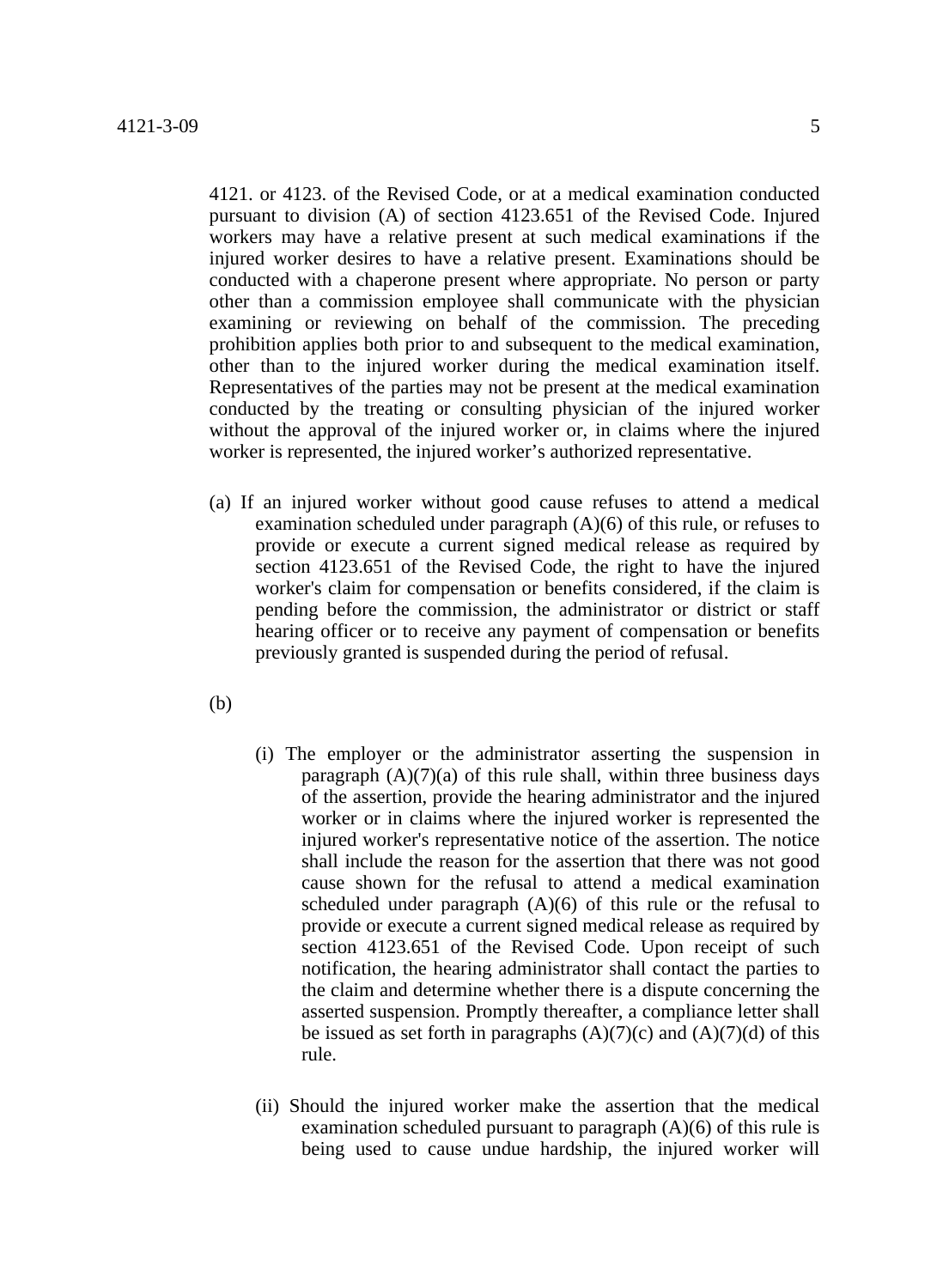4121. or 4123. of the Revised Code, or at a medical examination conducted pursuant to division (A) of section 4123.651 of the Revised Code. Injured workers may have a relative present at such medical examinations if the injured worker desires to have a relative present. Examinations should be conducted with a chaperone present where appropriate. No person or party other than a commission employee shall communicate with the physician examining or reviewing on behalf of the commission. The preceding prohibition applies both prior to and subsequent to the medical examination, other than to the injured worker during the medical examination itself. Representatives of the parties may not be present at the medical examination conducted by the treating or consulting physician of the injured worker without the approval of the injured worker or, in claims where the injured worker is represented, the injured worker's authorized representative.

- (a) If an injured worker without good cause refuses to attend a medical examination scheduled under paragraph (A)(6) of this rule, or refuses to provide or execute a current signed medical release as required by section 4123.651 of the Revised Code, the right to have the injured worker's claim for compensation or benefits considered, if the claim is pending before the commission, the administrator or district or staff hearing officer or to receive any payment of compensation or benefits previously granted is suspended during the period of refusal.
- (b)
- (i) The employer or the administrator asserting the suspension in paragraph  $(A)(7)(a)$  of this rule shall, within three business days of the assertion, provide the hearing administrator and the injured worker or in claims where the injured worker is represented the injured worker's representative notice of the assertion. The notice shall include the reason for the assertion that there was not good cause shown for the refusal to attend a medical examination scheduled under paragraph  $(A)(6)$  of this rule or the refusal to provide or execute a current signed medical release as required by section 4123.651 of the Revised Code. Upon receipt of such notification, the hearing administrator shall contact the parties to the claim and determine whether there is a dispute concerning the asserted suspension. Promptly thereafter, a compliance letter shall be issued as set forth in paragraphs  $(A)(7)(c)$  and  $(A)(7)(d)$  of this rule.
- (ii) Should the injured worker make the assertion that the medical examination scheduled pursuant to paragraph (A)(6) of this rule is being used to cause undue hardship, the injured worker will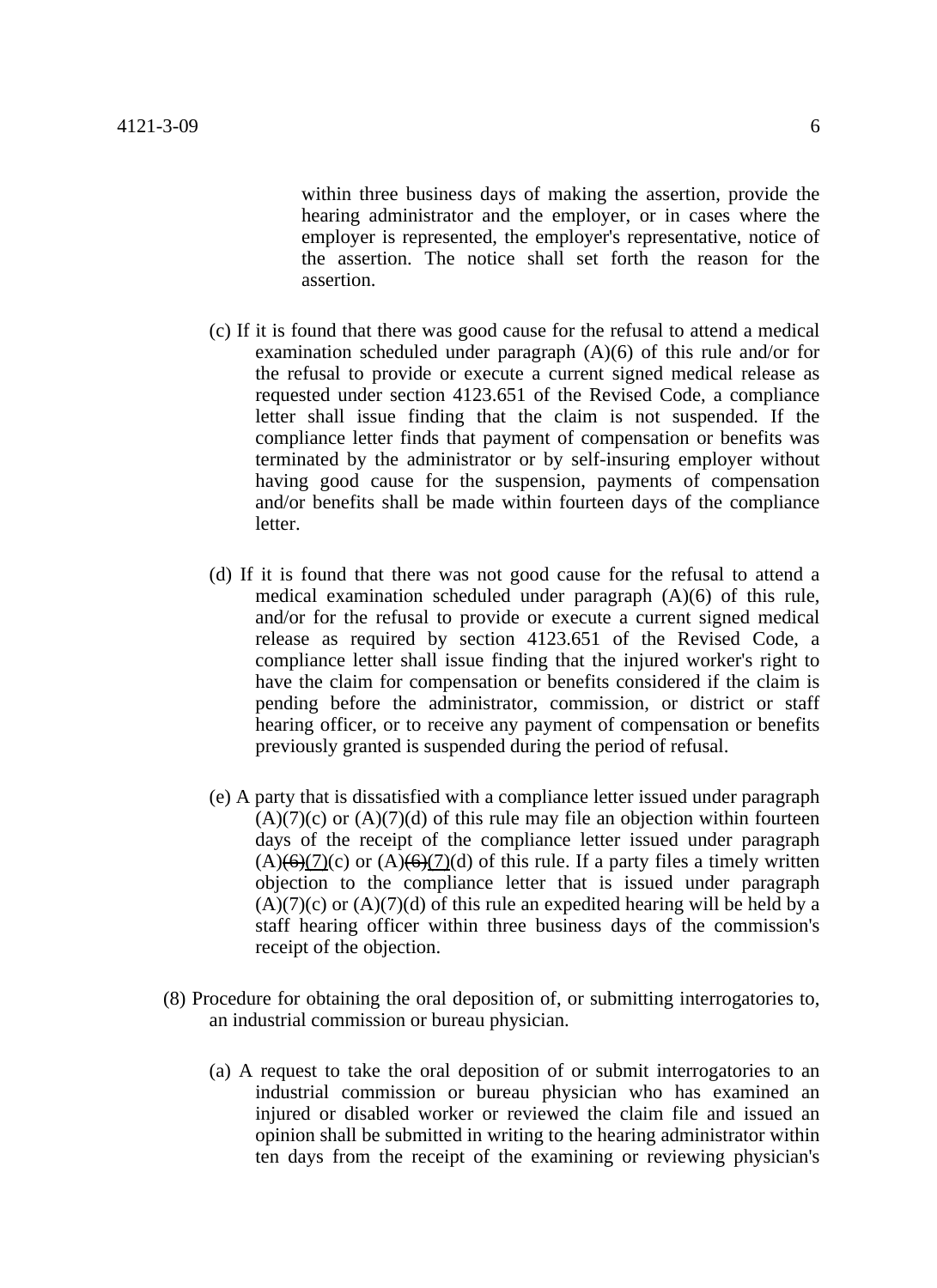within three business days of making the assertion, provide the hearing administrator and the employer, or in cases where the employer is represented, the employer's representative, notice of the assertion. The notice shall set forth the reason for the assertion.

- (c) If it is found that there was good cause for the refusal to attend a medical examination scheduled under paragraph (A)(6) of this rule and/or for the refusal to provide or execute a current signed medical release as requested under section 4123.651 of the Revised Code, a compliance letter shall issue finding that the claim is not suspended. If the compliance letter finds that payment of compensation or benefits was terminated by the administrator or by self-insuring employer without having good cause for the suspension, payments of compensation and/or benefits shall be made within fourteen days of the compliance letter.
- (d) If it is found that there was not good cause for the refusal to attend a medical examination scheduled under paragraph (A)(6) of this rule, and/or for the refusal to provide or execute a current signed medical release as required by section 4123.651 of the Revised Code, a compliance letter shall issue finding that the injured worker's right to have the claim for compensation or benefits considered if the claim is pending before the administrator, commission, or district or staff hearing officer, or to receive any payment of compensation or benefits previously granted is suspended during the period of refusal.
- (e) A party that is dissatisfied with a compliance letter issued under paragraph  $(A)(7)(c)$  or  $(A)(7)(d)$  of this rule may file an objection within fourteen days of the receipt of the compliance letter issued under paragraph  $(A)(6)(7)(c)$  or  $(A)(6)(7)(d)$  of this rule. If a party files a timely written objection to the compliance letter that is issued under paragraph  $(A)(7)(c)$  or  $(A)(7)(d)$  of this rule an expedited hearing will be held by a staff hearing officer within three business days of the commission's receipt of the objection.
- (8) Procedure for obtaining the oral deposition of, or submitting interrogatories to, an industrial commission or bureau physician.
	- (a) A request to take the oral deposition of or submit interrogatories to an industrial commission or bureau physician who has examined an injured or disabled worker or reviewed the claim file and issued an opinion shall be submitted in writing to the hearing administrator within ten days from the receipt of the examining or reviewing physician's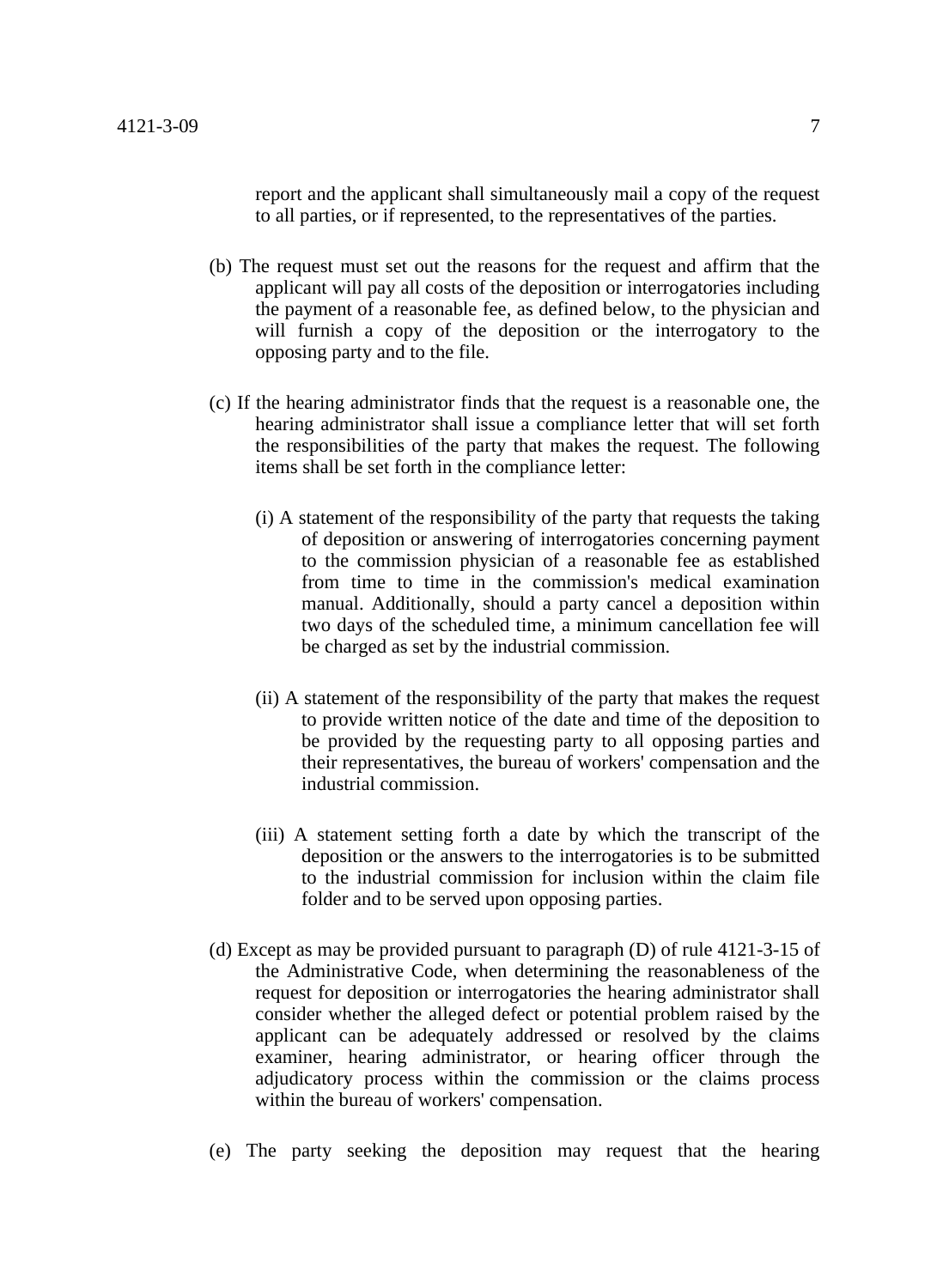report and the applicant shall simultaneously mail a copy of the request to all parties, or if represented, to the representatives of the parties.

- (b) The request must set out the reasons for the request and affirm that the applicant will pay all costs of the deposition or interrogatories including the payment of a reasonable fee, as defined below, to the physician and will furnish a copy of the deposition or the interrogatory to the opposing party and to the file.
- (c) If the hearing administrator finds that the request is a reasonable one, the hearing administrator shall issue a compliance letter that will set forth the responsibilities of the party that makes the request. The following items shall be set forth in the compliance letter:
	- (i) A statement of the responsibility of the party that requests the taking of deposition or answering of interrogatories concerning payment to the commission physician of a reasonable fee as established from time to time in the commission's medical examination manual. Additionally, should a party cancel a deposition within two days of the scheduled time, a minimum cancellation fee will be charged as set by the industrial commission.
	- (ii) A statement of the responsibility of the party that makes the request to provide written notice of the date and time of the deposition to be provided by the requesting party to all opposing parties and their representatives, the bureau of workers' compensation and the industrial commission.
	- (iii) A statement setting forth a date by which the transcript of the deposition or the answers to the interrogatories is to be submitted to the industrial commission for inclusion within the claim file folder and to be served upon opposing parties.
- (d) Except as may be provided pursuant to paragraph (D) of rule 4121-3-15 of the Administrative Code, when determining the reasonableness of the request for deposition or interrogatories the hearing administrator shall consider whether the alleged defect or potential problem raised by the applicant can be adequately addressed or resolved by the claims examiner, hearing administrator, or hearing officer through the adjudicatory process within the commission or the claims process within the bureau of workers' compensation.
- (e) The party seeking the deposition may request that the hearing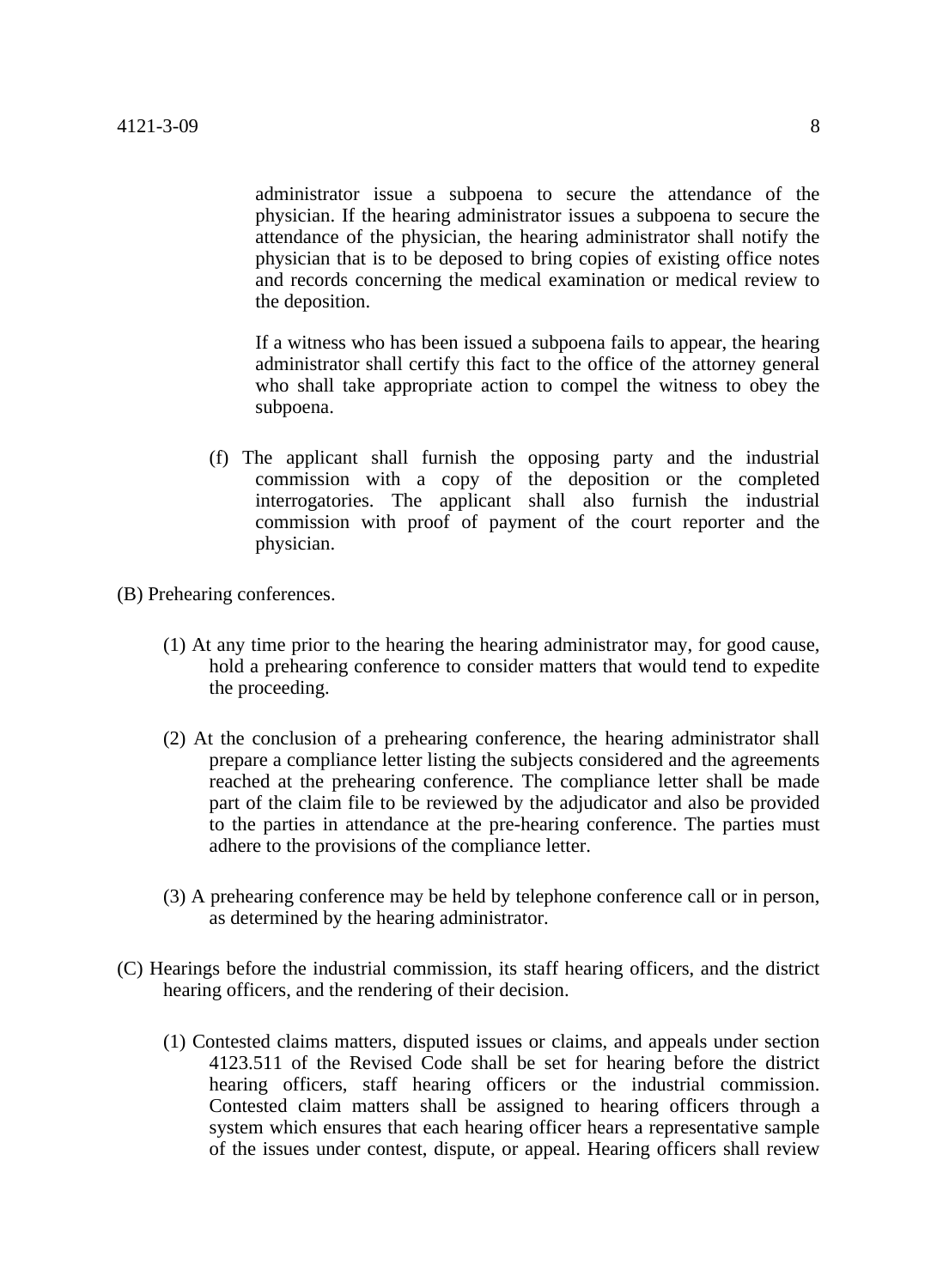administrator issue a subpoena to secure the attendance of the physician. If the hearing administrator issues a subpoena to secure the attendance of the physician, the hearing administrator shall notify the physician that is to be deposed to bring copies of existing office notes and records concerning the medical examination or medical review to the deposition.

If a witness who has been issued a subpoena fails to appear, the hearing administrator shall certify this fact to the office of the attorney general who shall take appropriate action to compel the witness to obey the subpoena.

(f) The applicant shall furnish the opposing party and the industrial commission with a copy of the deposition or the completed interrogatories. The applicant shall also furnish the industrial commission with proof of payment of the court reporter and the physician.

(B) Prehearing conferences.

- (1) At any time prior to the hearing the hearing administrator may, for good cause, hold a prehearing conference to consider matters that would tend to expedite the proceeding.
- (2) At the conclusion of a prehearing conference, the hearing administrator shall prepare a compliance letter listing the subjects considered and the agreements reached at the prehearing conference. The compliance letter shall be made part of the claim file to be reviewed by the adjudicator and also be provided to the parties in attendance at the pre-hearing conference. The parties must adhere to the provisions of the compliance letter.
- (3) A prehearing conference may be held by telephone conference call or in person, as determined by the hearing administrator.
- (C) Hearings before the industrial commission, its staff hearing officers, and the district hearing officers, and the rendering of their decision.
	- (1) Contested claims matters, disputed issues or claims, and appeals under section 4123.511 of the Revised Code shall be set for hearing before the district hearing officers, staff hearing officers or the industrial commission. Contested claim matters shall be assigned to hearing officers through a system which ensures that each hearing officer hears a representative sample of the issues under contest, dispute, or appeal. Hearing officers shall review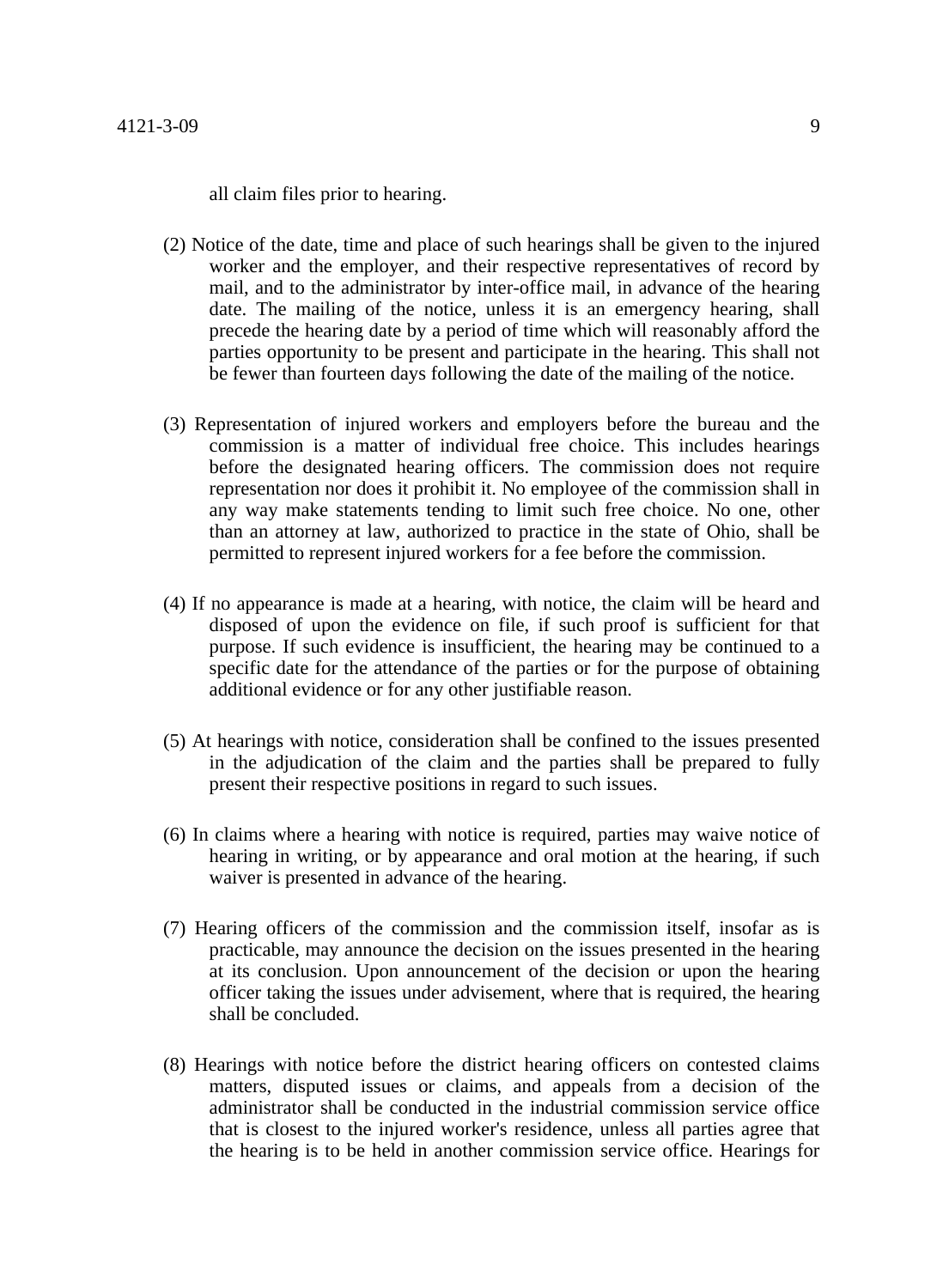all claim files prior to hearing.

- (2) Notice of the date, time and place of such hearings shall be given to the injured worker and the employer, and their respective representatives of record by mail, and to the administrator by inter-office mail, in advance of the hearing date. The mailing of the notice, unless it is an emergency hearing, shall precede the hearing date by a period of time which will reasonably afford the parties opportunity to be present and participate in the hearing. This shall not be fewer than fourteen days following the date of the mailing of the notice.
- (3) Representation of injured workers and employers before the bureau and the commission is a matter of individual free choice. This includes hearings before the designated hearing officers. The commission does not require representation nor does it prohibit it. No employee of the commission shall in any way make statements tending to limit such free choice. No one, other than an attorney at law, authorized to practice in the state of Ohio, shall be permitted to represent injured workers for a fee before the commission.
- (4) If no appearance is made at a hearing, with notice, the claim will be heard and disposed of upon the evidence on file, if such proof is sufficient for that purpose. If such evidence is insufficient, the hearing may be continued to a specific date for the attendance of the parties or for the purpose of obtaining additional evidence or for any other justifiable reason.
- (5) At hearings with notice, consideration shall be confined to the issues presented in the adjudication of the claim and the parties shall be prepared to fully present their respective positions in regard to such issues.
- (6) In claims where a hearing with notice is required, parties may waive notice of hearing in writing, or by appearance and oral motion at the hearing, if such waiver is presented in advance of the hearing.
- (7) Hearing officers of the commission and the commission itself, insofar as is practicable, may announce the decision on the issues presented in the hearing at its conclusion. Upon announcement of the decision or upon the hearing officer taking the issues under advisement, where that is required, the hearing shall be concluded.
- (8) Hearings with notice before the district hearing officers on contested claims matters, disputed issues or claims, and appeals from a decision of the administrator shall be conducted in the industrial commission service office that is closest to the injured worker's residence, unless all parties agree that the hearing is to be held in another commission service office. Hearings for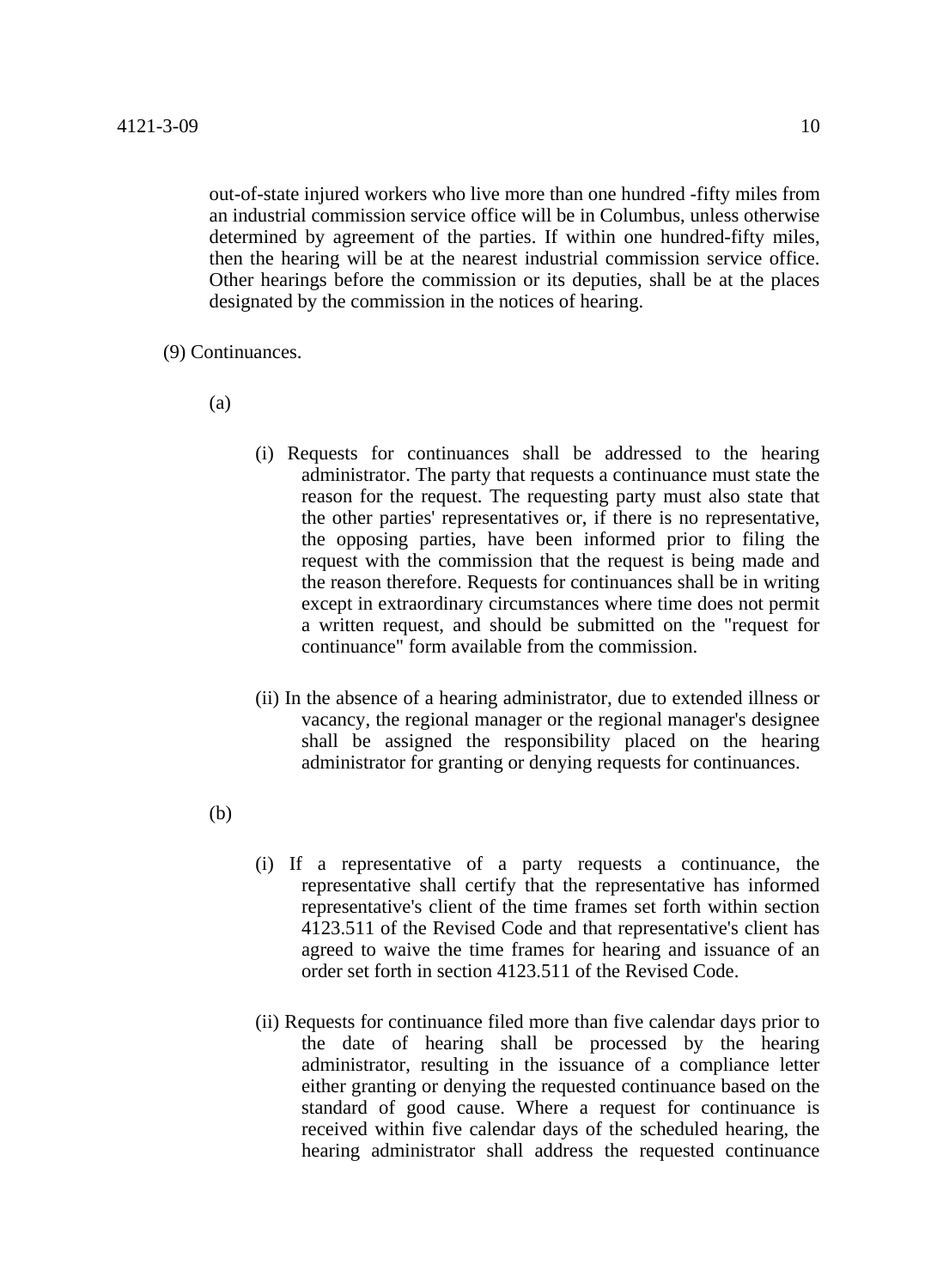out-of-state injured workers who live more than one hundred -fifty miles from an industrial commission service office will be in Columbus, unless otherwise determined by agreement of the parties. If within one hundred-fifty miles, then the hearing will be at the nearest industrial commission service office. Other hearings before the commission or its deputies, shall be at the places designated by the commission in the notices of hearing.

(9) Continuances.

(a)

- (i) Requests for continuances shall be addressed to the hearing administrator. The party that requests a continuance must state the reason for the request. The requesting party must also state that the other parties' representatives or, if there is no representative, the opposing parties, have been informed prior to filing the request with the commission that the request is being made and the reason therefore. Requests for continuances shall be in writing except in extraordinary circumstances where time does not permit a written request, and should be submitted on the "request for continuance" form available from the commission.
- (ii) In the absence of a hearing administrator, due to extended illness or vacancy, the regional manager or the regional manager's designee shall be assigned the responsibility placed on the hearing administrator for granting or denying requests for continuances.

(b)

- (i) If a representative of a party requests a continuance, the representative shall certify that the representative has informed representative's client of the time frames set forth within section 4123.511 of the Revised Code and that representative's client has agreed to waive the time frames for hearing and issuance of an order set forth in section 4123.511 of the Revised Code.
- (ii) Requests for continuance filed more than five calendar days prior to the date of hearing shall be processed by the hearing administrator, resulting in the issuance of a compliance letter either granting or denying the requested continuance based on the standard of good cause. Where a request for continuance is received within five calendar days of the scheduled hearing, the hearing administrator shall address the requested continuance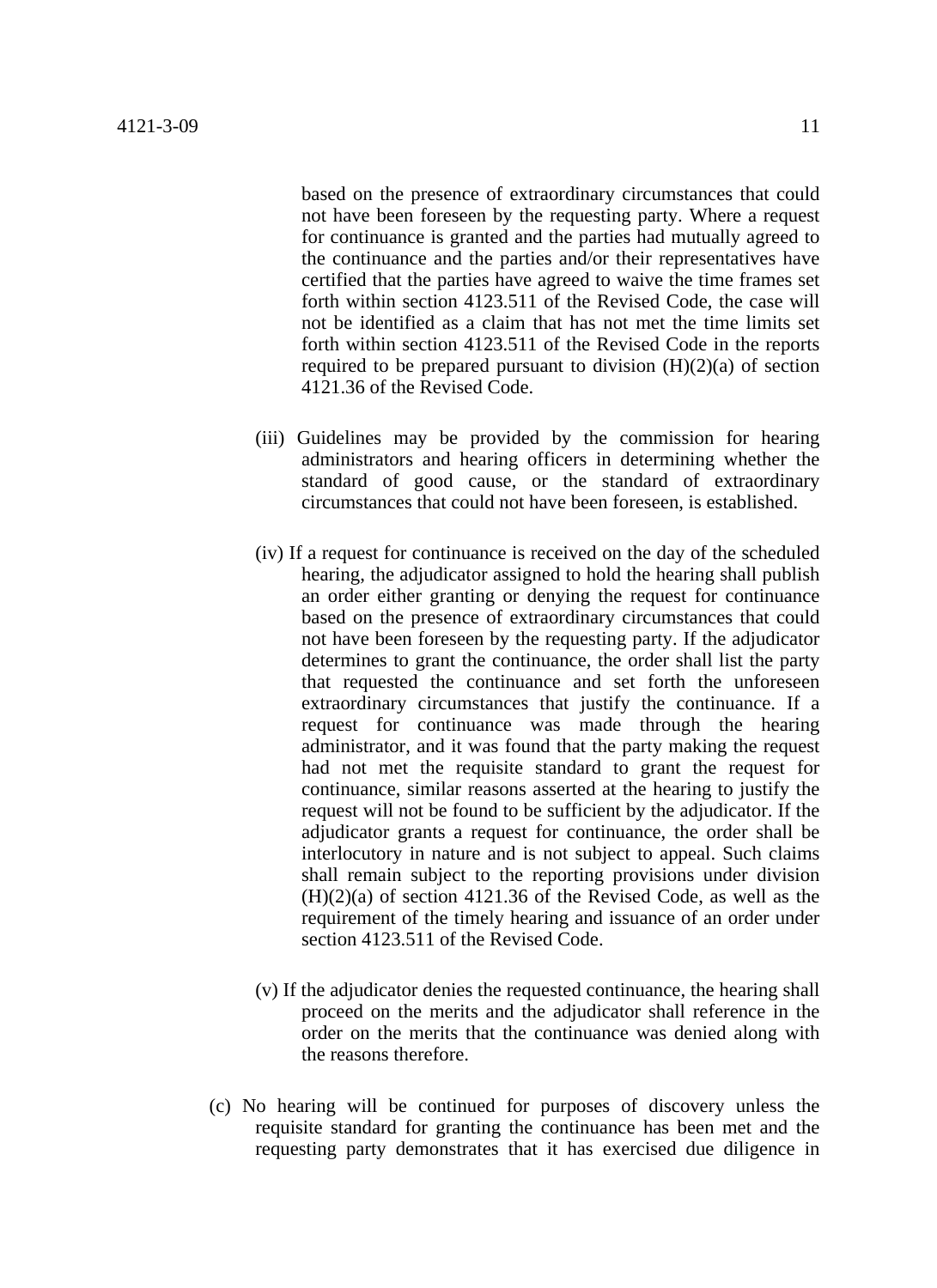based on the presence of extraordinary circumstances that could not have been foreseen by the requesting party. Where a request for continuance is granted and the parties had mutually agreed to the continuance and the parties and/or their representatives have certified that the parties have agreed to waive the time frames set forth within section 4123.511 of the Revised Code, the case will not be identified as a claim that has not met the time limits set forth within section 4123.511 of the Revised Code in the reports required to be prepared pursuant to division  $(H)(2)(a)$  of section 4121.36 of the Revised Code.

- (iii) Guidelines may be provided by the commission for hearing administrators and hearing officers in determining whether the standard of good cause, or the standard of extraordinary circumstances that could not have been foreseen, is established.
- (iv) If a request for continuance is received on the day of the scheduled hearing, the adjudicator assigned to hold the hearing shall publish an order either granting or denying the request for continuance based on the presence of extraordinary circumstances that could not have been foreseen by the requesting party. If the adjudicator determines to grant the continuance, the order shall list the party that requested the continuance and set forth the unforeseen extraordinary circumstances that justify the continuance. If a request for continuance was made through the hearing administrator, and it was found that the party making the request had not met the requisite standard to grant the request for continuance, similar reasons asserted at the hearing to justify the request will not be found to be sufficient by the adjudicator. If the adjudicator grants a request for continuance, the order shall be interlocutory in nature and is not subject to appeal. Such claims shall remain subject to the reporting provisions under division (H)(2)(a) of section 4121.36 of the Revised Code, as well as the requirement of the timely hearing and issuance of an order under section 4123.511 of the Revised Code.
- (v) If the adjudicator denies the requested continuance, the hearing shall proceed on the merits and the adjudicator shall reference in the order on the merits that the continuance was denied along with the reasons therefore.
- (c) No hearing will be continued for purposes of discovery unless the requisite standard for granting the continuance has been met and the requesting party demonstrates that it has exercised due diligence in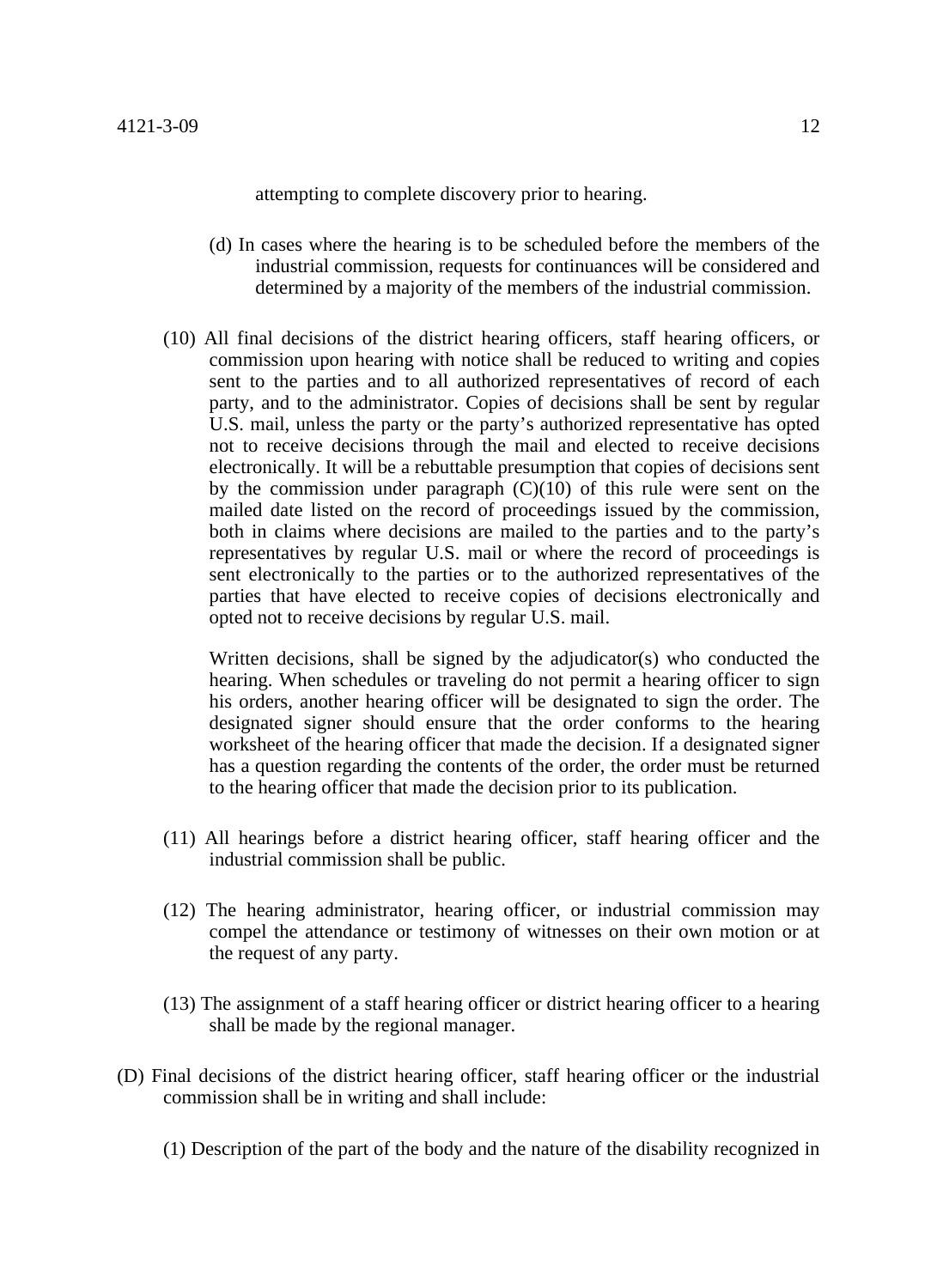attempting to complete discovery prior to hearing.

- (d) In cases where the hearing is to be scheduled before the members of the industrial commission, requests for continuances will be considered and determined by a majority of the members of the industrial commission.
- (10) All final decisions of the district hearing officers, staff hearing officers, or commission upon hearing with notice shall be reduced to writing and copies sent to the parties and to all authorized representatives of record of each party, and to the administrator. Copies of decisions shall be sent by regular U.S. mail, unless the party or the party's authorized representative has opted not to receive decisions through the mail and elected to receive decisions electronically. It will be a rebuttable presumption that copies of decisions sent by the commission under paragraph  $(C)(10)$  of this rule were sent on the mailed date listed on the record of proceedings issued by the commission, both in claims where decisions are mailed to the parties and to the party's representatives by regular U.S. mail or where the record of proceedings is sent electronically to the parties or to the authorized representatives of the parties that have elected to receive copies of decisions electronically and opted not to receive decisions by regular U.S. mail.

Written decisions, shall be signed by the adjudicator(s) who conducted the hearing. When schedules or traveling do not permit a hearing officer to sign his orders, another hearing officer will be designated to sign the order. The designated signer should ensure that the order conforms to the hearing worksheet of the hearing officer that made the decision. If a designated signer has a question regarding the contents of the order, the order must be returned to the hearing officer that made the decision prior to its publication.

- (11) All hearings before a district hearing officer, staff hearing officer and the industrial commission shall be public.
- (12) The hearing administrator, hearing officer, or industrial commission may compel the attendance or testimony of witnesses on their own motion or at the request of any party.
- (13) The assignment of a staff hearing officer or district hearing officer to a hearing shall be made by the regional manager.
- (D) Final decisions of the district hearing officer, staff hearing officer or the industrial commission shall be in writing and shall include:
	- (1) Description of the part of the body and the nature of the disability recognized in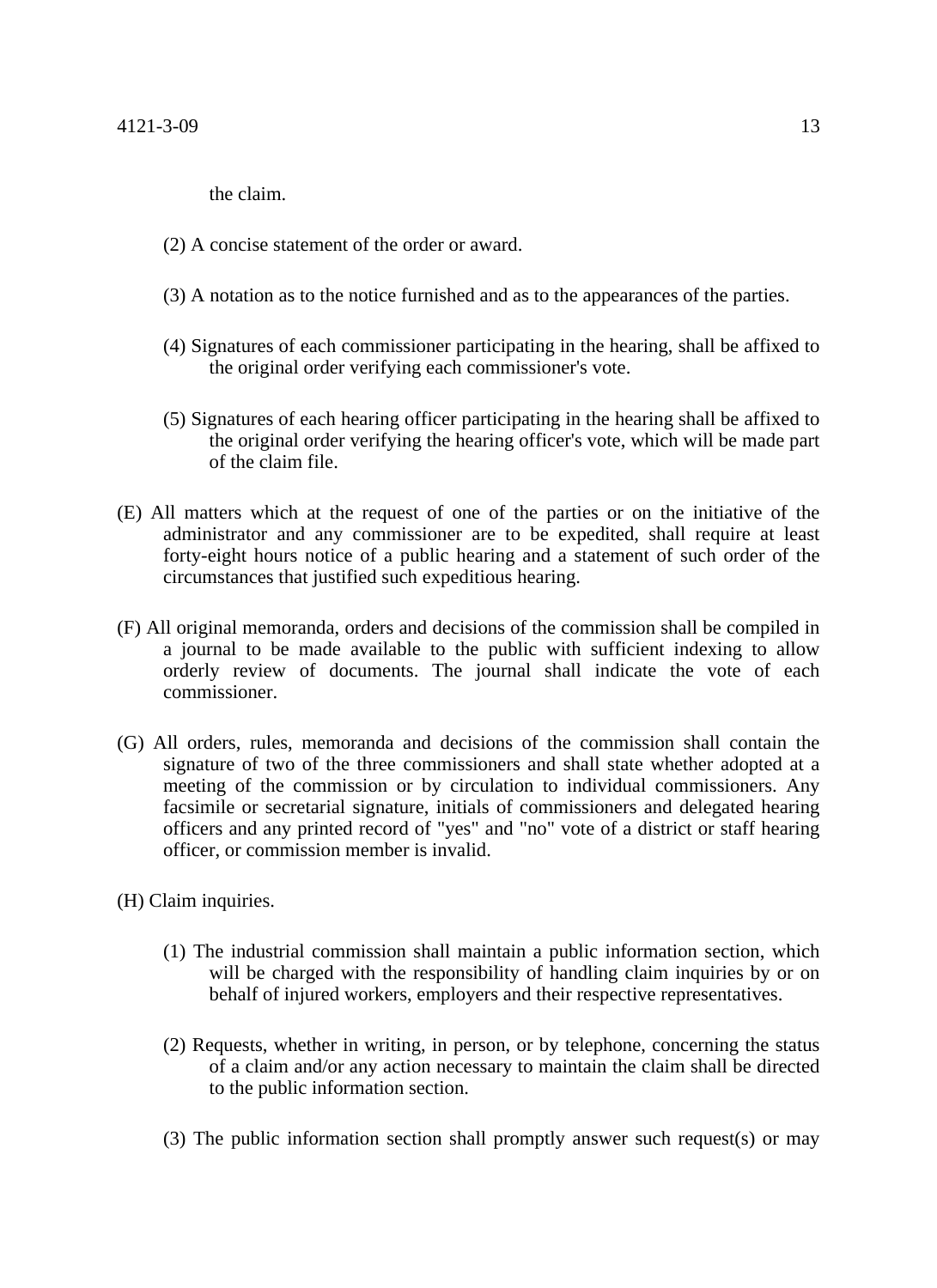the claim.

- (2) A concise statement of the order or award.
- (3) A notation as to the notice furnished and as to the appearances of the parties.
- (4) Signatures of each commissioner participating in the hearing, shall be affixed to the original order verifying each commissioner's vote.
- (5) Signatures of each hearing officer participating in the hearing shall be affixed to the original order verifying the hearing officer's vote, which will be made part of the claim file.
- (E) All matters which at the request of one of the parties or on the initiative of the administrator and any commissioner are to be expedited, shall require at least forty-eight hours notice of a public hearing and a statement of such order of the circumstances that justified such expeditious hearing.
- (F) All original memoranda, orders and decisions of the commission shall be compiled in a journal to be made available to the public with sufficient indexing to allow orderly review of documents. The journal shall indicate the vote of each commissioner.
- (G) All orders, rules, memoranda and decisions of the commission shall contain the signature of two of the three commissioners and shall state whether adopted at a meeting of the commission or by circulation to individual commissioners. Any facsimile or secretarial signature, initials of commissioners and delegated hearing officers and any printed record of "yes" and "no" vote of a district or staff hearing officer, or commission member is invalid.
- (H) Claim inquiries.
	- (1) The industrial commission shall maintain a public information section, which will be charged with the responsibility of handling claim inquiries by or on behalf of injured workers, employers and their respective representatives.
	- (2) Requests, whether in writing, in person, or by telephone, concerning the status of a claim and/or any action necessary to maintain the claim shall be directed to the public information section.
	- (3) The public information section shall promptly answer such request(s) or may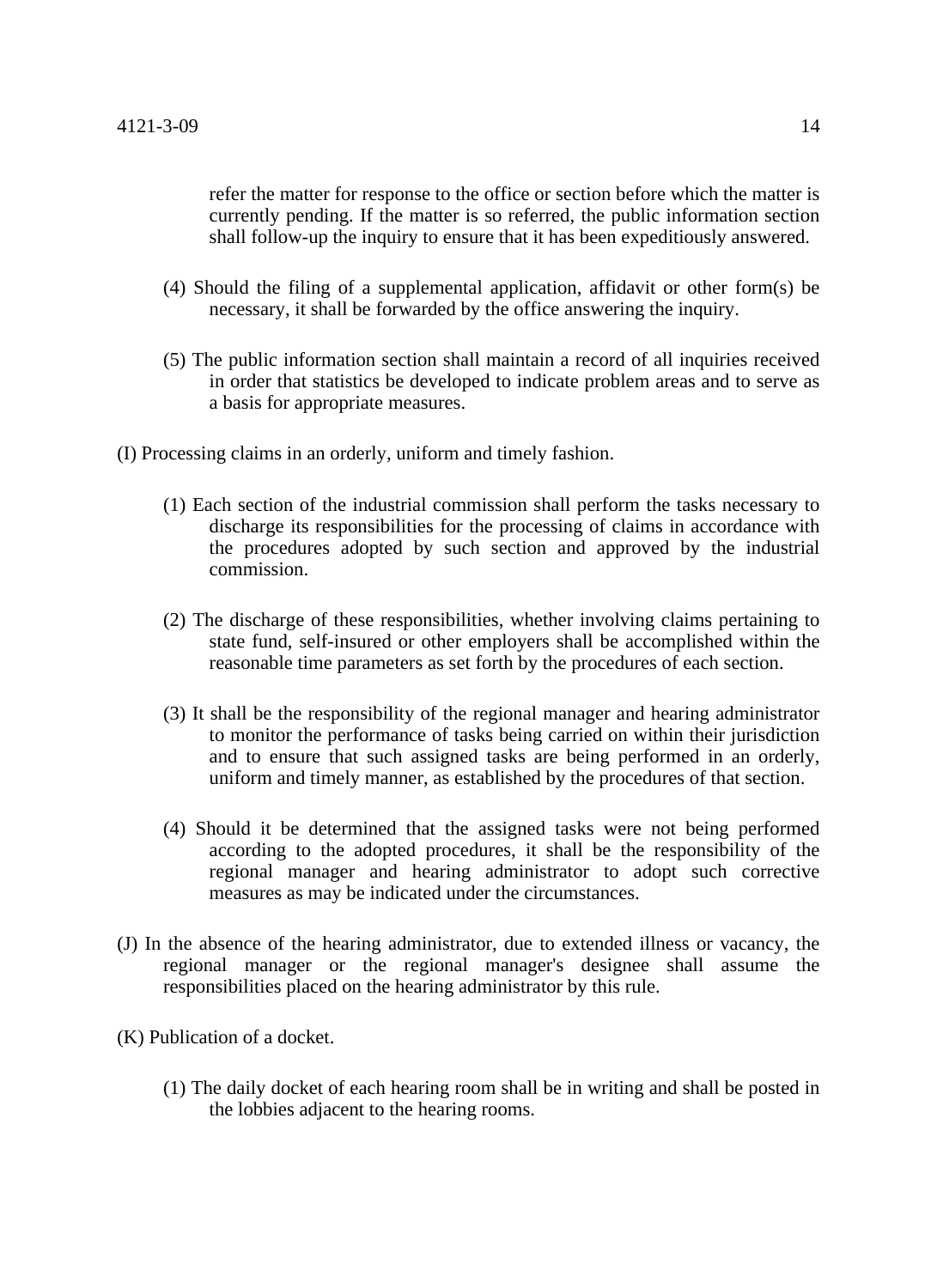refer the matter for response to the office or section before which the matter is currently pending. If the matter is so referred, the public information section shall follow-up the inquiry to ensure that it has been expeditiously answered.

- (4) Should the filing of a supplemental application, affidavit or other form(s) be necessary, it shall be forwarded by the office answering the inquiry.
- (5) The public information section shall maintain a record of all inquiries received in order that statistics be developed to indicate problem areas and to serve as a basis for appropriate measures.
- (I) Processing claims in an orderly, uniform and timely fashion.
	- (1) Each section of the industrial commission shall perform the tasks necessary to discharge its responsibilities for the processing of claims in accordance with the procedures adopted by such section and approved by the industrial commission.
	- (2) The discharge of these responsibilities, whether involving claims pertaining to state fund, self-insured or other employers shall be accomplished within the reasonable time parameters as set forth by the procedures of each section.
	- (3) It shall be the responsibility of the regional manager and hearing administrator to monitor the performance of tasks being carried on within their jurisdiction and to ensure that such assigned tasks are being performed in an orderly, uniform and timely manner, as established by the procedures of that section.
	- (4) Should it be determined that the assigned tasks were not being performed according to the adopted procedures, it shall be the responsibility of the regional manager and hearing administrator to adopt such corrective measures as may be indicated under the circumstances.
- (J) In the absence of the hearing administrator, due to extended illness or vacancy, the regional manager or the regional manager's designee shall assume the responsibilities placed on the hearing administrator by this rule.
- (K) Publication of a docket.
	- (1) The daily docket of each hearing room shall be in writing and shall be posted in the lobbies adjacent to the hearing rooms.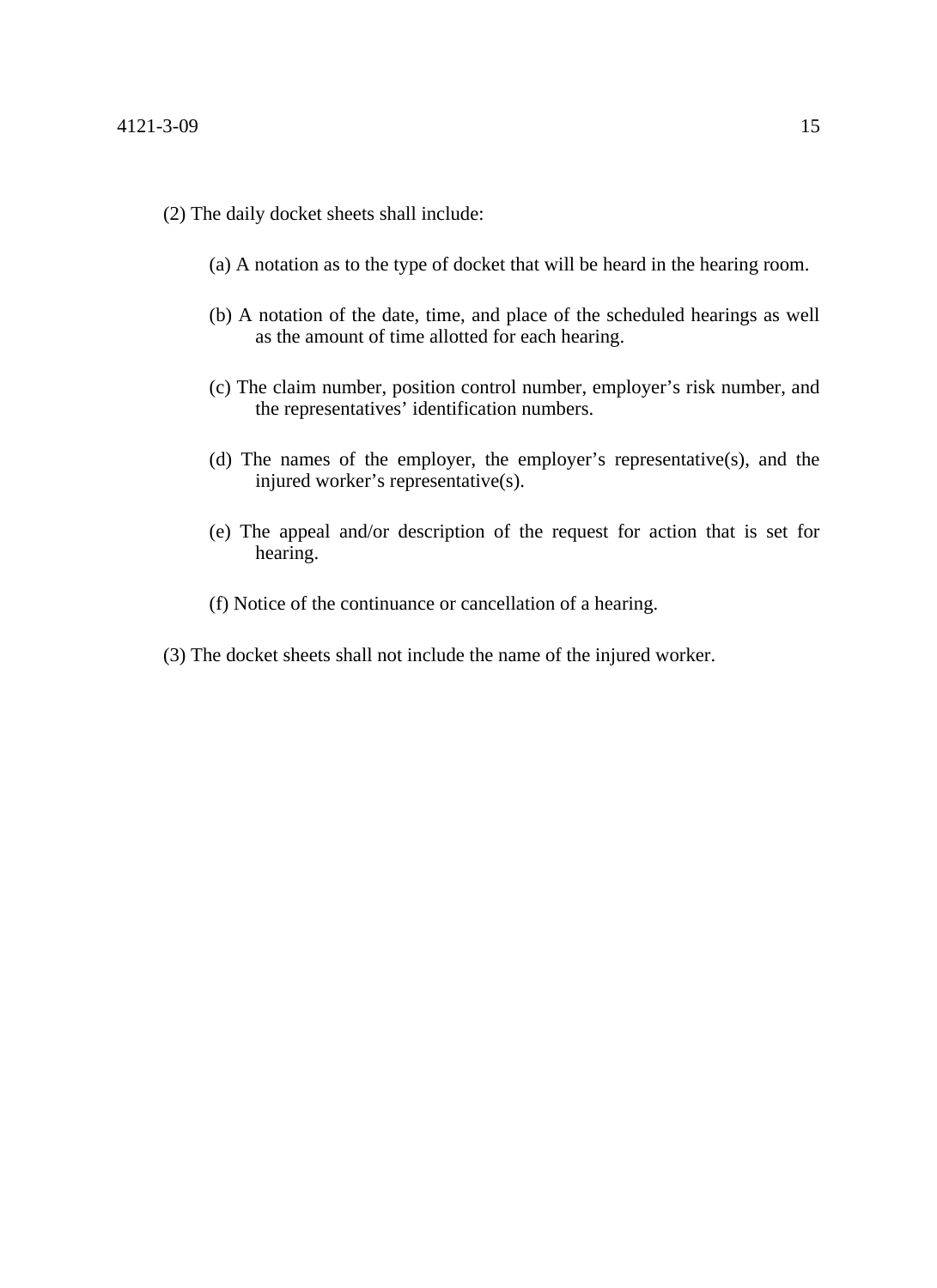- (2) The daily docket sheets shall include:
	- (a) A notation as to the type of docket that will be heard in the hearing room.
	- (b) A notation of the date, time, and place of the scheduled hearings as well as the amount of time allotted for each hearing.
	- (c) The claim number, position control number, employer's risk number, and the representatives' identification numbers.
	- (d) The names of the employer, the employer's representative(s), and the injured worker's representative(s).
	- (e) The appeal and/or description of the request for action that is set for hearing.
	- (f) Notice of the continuance or cancellation of a hearing.
- (3) The docket sheets shall not include the name of the injured worker.